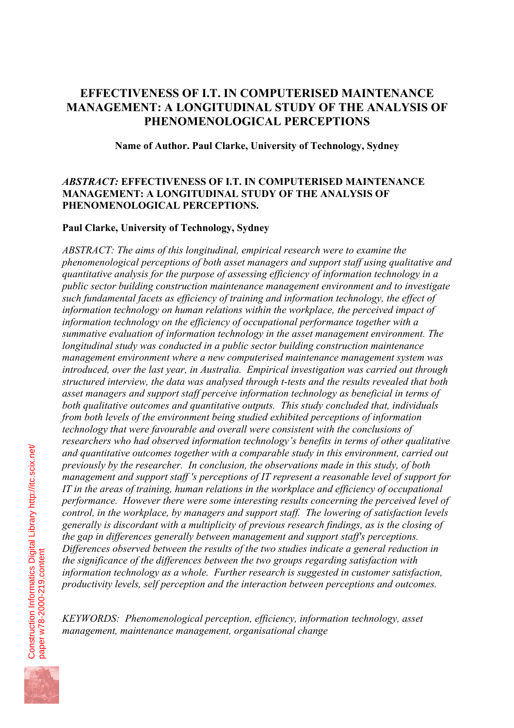# **EFFECTIVENESS OF I.T. IN COMPUTERISED MAINTENANCE MANAGEMENT: A LONGITUDINAL STUDY OF THE ANALYSIS OF PHENOMENOLOGICAL PERCEPTIONS**

**Name of Author. Paul Clarke, University of Technology, Sydney**

# *ABSTRACT:* **EFFECTIVENESS OF I.T. IN COMPUTERISED MAINTENANCE MANAGEMENT: A LONGITUDINAL STUDY OF THE ANALYSIS OF PHENOMENOLOGICAL PERCEPTIONS.**

# **Paul Clarke, University of Technology, Sydney**

*ABSTRACT: The aims of this longitudinal, empirical research were to examine the phenomenological perceptions of both asset managers and support staff using qualitative and quantitative analysis for the purpose of assessing efficiency of information technology in a public sector building construction maintenance management environment and to investigate such fundamental facets as efficiency of training and information technology, the effect of information technology on human relations within the workplace, the perceived impact of information technology on the efficiency of occupational performance together with a summative evaluation of information technology in the asset management environment. The longitudinal study was conducted in a public sector building construction maintenance management environment where a new computerised maintenance management system was introduced, over the last year, in Australia. Empirical investigation was carried out through structured interview, the data was analysed through t-tests and the results revealed that both asset managers and support staff perceive information technology as beneficial in terms of both qualitative outcomes and quantitative outputs. This study concluded that, individuals from both levels of the environment being studied exhibited perceptions of information technology that were favourable and overall were consistent with the conclusions of researchers who had observed information technology's benefits in terms of other qualitative and quantitative outcomes together with a comparable study in this environment, carried out previously by the researcher. In conclusion, the observations made in this study, of both management and support staff 's perceptions of IT represent a reasonable level of support for IT in the areas of training, human relations in the workplace and efficiency of occupational performance. However there were some interesting results concerning the perceived level of control, in the workplace, by managers and support staff. The lowering of satisfaction levels generally is discordant with a multiplicity of previous research findings, as is the closing of the gap in differences generally between management and support staff's perceptions. Differences observed between the results of the two studies indicate a general reduction in the significance of the differences between the two groups regarding satisfaction with information technology as a whole. Further research is suggested in customer satisfaction, productivity levels, self perception and the interaction between perceptions and outcomes.* 

*KEYWORDS: Phenomenological perception, efficiency, information technology, asset management, maintenance management, organisational change* 

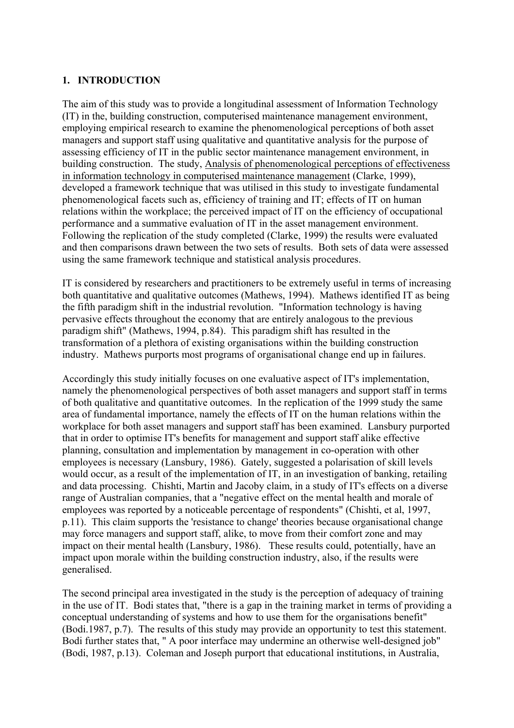#### **1. INTRODUCTION**

The aim of this study was to provide a longitudinal assessment of Information Technology (IT) in the, building construction, computerised maintenance management environment, employing empirical research to examine the phenomenological perceptions of both asset managers and support staff using qualitative and quantitative analysis for the purpose of assessing efficiency of IT in the public sector maintenance management environment, in building construction. The study, Analysis of phenomenological perceptions of effectiveness in information technology in computerised maintenance management (Clarke, 1999), developed a framework technique that was utilised in this study to investigate fundamental phenomenological facets such as, efficiency of training and IT; effects of IT on human relations within the workplace; the perceived impact of IT on the efficiency of occupational performance and a summative evaluation of IT in the asset management environment. Following the replication of the study completed (Clarke, 1999) the results were evaluated and then comparisons drawn between the two sets of results. Both sets of data were assessed using the same framework technique and statistical analysis procedures.

IT is considered by researchers and practitioners to be extremely useful in terms of increasing both quantitative and qualitative outcomes (Mathews, 1994). Mathews identified IT as being the fifth paradigm shift in the industrial revolution. "Information technology is having pervasive effects throughout the economy that are entirely analogous to the previous paradigm shift" (Mathews, 1994, p.84). This paradigm shift has resulted in the transformation of a plethora of existing organisations within the building construction industry. Mathews purports most programs of organisational change end up in failures.

Accordingly this study initially focuses on one evaluative aspect of IT's implementation, namely the phenomenological perspectives of both asset managers and support staff in terms of both qualitative and quantitative outcomes. In the replication of the 1999 study the same area of fundamental importance, namely the effects of IT on the human relations within the workplace for both asset managers and support staff has been examined. Lansbury purported that in order to optimise IT's benefits for management and support staff alike effective planning, consultation and implementation by management in co-operation with other employees is necessary (Lansbury, 1986). Gately, suggested a polarisation of skill levels would occur, as a result of the implementation of IT, in an investigation of banking, retailing and data processing. Chishti, Martin and Jacoby claim, in a study of IT's effects on a diverse range of Australian companies, that a "negative effect on the mental health and morale of employees was reported by a noticeable percentage of respondents" (Chishti, et al, 1997, p.11). This claim supports the 'resistance to change' theories because organisational change may force managers and support staff, alike, to move from their comfort zone and may impact on their mental health (Lansbury, 1986). These results could, potentially, have an impact upon morale within the building construction industry, also, if the results were generalised.

The second principal area investigated in the study is the perception of adequacy of training in the use of IT. Bodi states that, "there is a gap in the training market in terms of providing a conceptual understanding of systems and how to use them for the organisations benefit" (Bodi.1987, p.7). The results of this study may provide an opportunity to test this statement. Bodi further states that, " A poor interface may undermine an otherwise well-designed job" (Bodi, 1987, p.13). Coleman and Joseph purport that educational institutions, in Australia,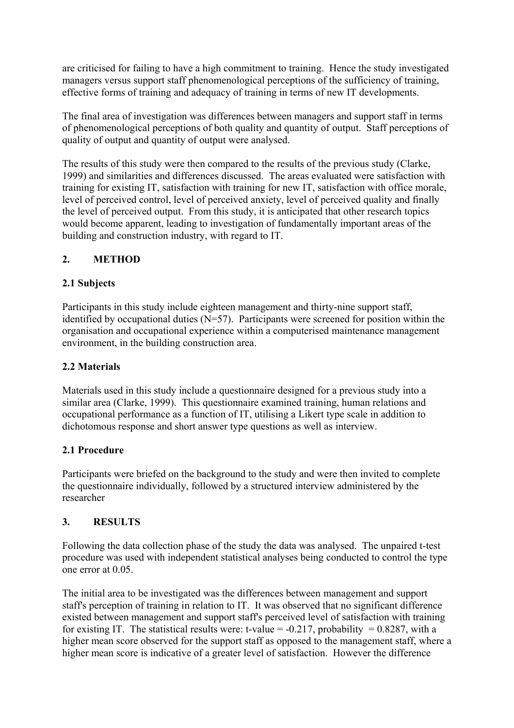are criticised for failing to have a high commitment to training. Hence the study investigated managers versus support staff phenomenological perceptions of the sufficiency of training, effective forms of training and adequacy of training in terms of new IT developments.

The final area of investigation was differences between managers and support staff in terms of phenomenological perceptions of both quality and quantity of output. Staff perceptions of quality of output and quantity of output were analysed.

The results of this study were then compared to the results of the previous study (Clarke, 1999) and similarities and differences discussed. The areas evaluated were satisfaction with training for existing IT, satisfaction with training for new IT, satisfaction with office morale, level of perceived control, level of perceived anxiety, level of perceived quality and finally the level of perceived output. From this study, it is anticipated that other research topics would become apparent, leading to investigation of fundamentally important areas of the building and construction industry, with regard to IT.

# **2. METHOD**

# **2.1 Subjects**

Participants in this study include eighteen management and thirty-nine support staff, identified by occupational duties  $(N=57)$ . Participants were screened for position within the organisation and occupational experience within a computerised maintenance management environment, in the building construction area.

# **2.2 Materials**

Materials used in this study include a questionnaire designed for a previous study into a similar area (Clarke, 1999). This questionnaire examined training, human relations and occupational performance as a function of IT, utilising a Likert type scale in addition to dichotomous response and short answer type questions as well as interview.

# **2.1 Procedure**

Participants were briefed on the background to the study and were then invited to complete the questionnaire individually, followed by a structured interview administered by the researcher

# **3. RESULTS**

Following the data collection phase of the study the data was analysed. The unpaired t-test procedure was used with independent statistical analyses being conducted to control the type one error at 0.05.

The initial area to be investigated was the differences between management and support staff's perception of training in relation to IT. It was observed that no significant difference existed between management and support staff's perceived level of satisfaction with training for existing IT. The statistical results were: t-value =  $-0.217$ , probability = 0.8287, with a higher mean score observed for the support staff as opposed to the management staff, where a higher mean score is indicative of a greater level of satisfaction. However the difference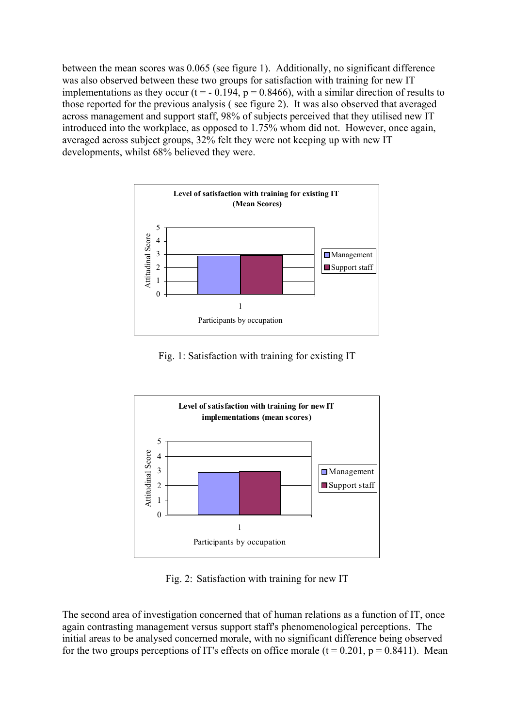between the mean scores was 0.065 (see figure 1). Additionally, no significant difference was also observed between these two groups for satisfaction with training for new IT implementations as they occur (t =  $-$  0.194, p = 0.8466), with a similar direction of results to those reported for the previous analysis ( see figure 2). It was also observed that averaged across management and support staff, 98% of subjects perceived that they utilised new IT introduced into the workplace, as opposed to 1.75% whom did not. However, once again, averaged across subject groups, 32% felt they were not keeping up with new IT developments, whilst 68% believed they were.



Fig. 1: Satisfaction with training for existing IT



Fig. 2: Satisfaction with training for new IT

The second area of investigation concerned that of human relations as a function of IT, once again contrasting management versus support staff's phenomenological perceptions. The initial areas to be analysed concerned morale, with no significant difference being observed for the two groups perceptions of IT's effects on office morale  $(t = 0.201, p = 0.8411)$ . Mean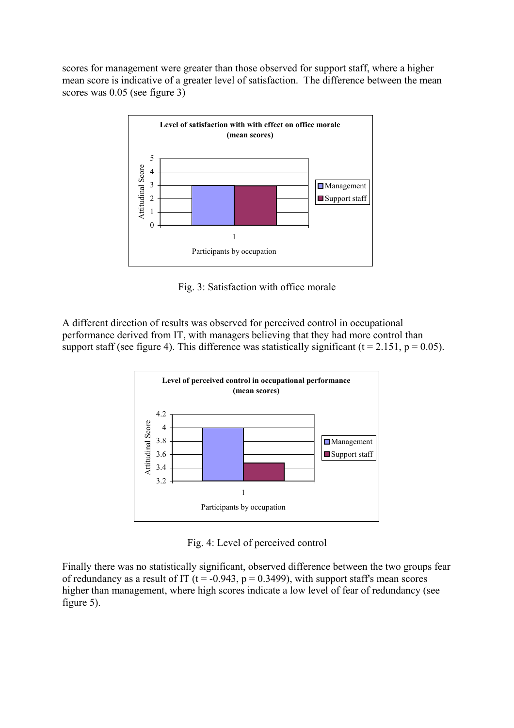scores for management were greater than those observed for support staff, where a higher mean score is indicative of a greater level of satisfaction. The difference between the mean scores was 0.05 (see figure 3)



Fig. 3: Satisfaction with office morale

A different direction of results was observed for perceived control in occupational performance derived from IT, with managers believing that they had more control than support staff (see figure 4). This difference was statistically significant ( $t = 2.151$ ,  $p = 0.05$ ).



Fig. 4: Level of perceived control

Finally there was no statistically significant, observed difference between the two groups fear higher than management, where high scores indicate a low level of fear of redundancy (see figure 5). of redundancy as a result of IT ( $t = -0.943$ ,  $p = 0.3499$ ), with support staff's mean scores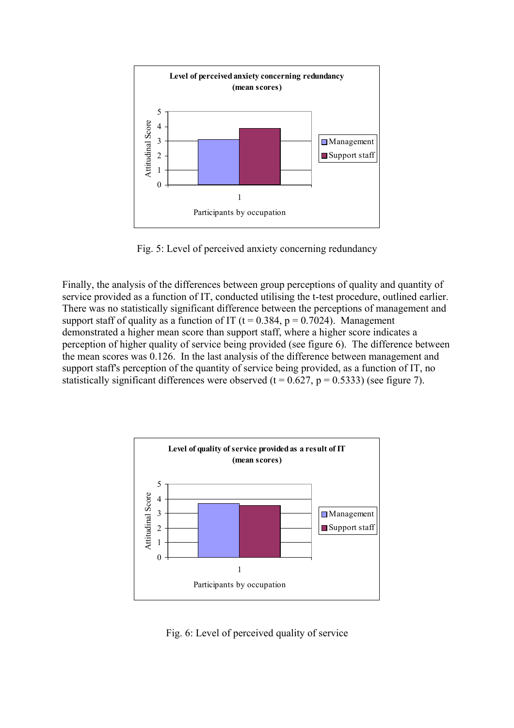

Fig. 5: Level of perceived anxiety concerning redundancy

Finally, the analysis of the differences between group perceptions of quality and quantity of service provided as a function of IT, conducted utilising the t-test procedure, outlined earlier. support staff of quality as a function of IT ( $t = 0.384$ ,  $p = 0.7024$ ). Management demonstrated a higher mean score than support staff, where a higher score indicates a perception of higher quality of service being provided (see figure 6). The difference between the mean scores was 0.126. In the last analysis of the difference between management and support staff's perception of the quantity of service being provided, as a function of IT, no statistically significant differences were observed ( $t = 0.627$ ,  $p = 0.5333$ ) (see figure 7). There was no statistically significant difference between the perceptions of management and



Fig. 6: Level of perceived quality of service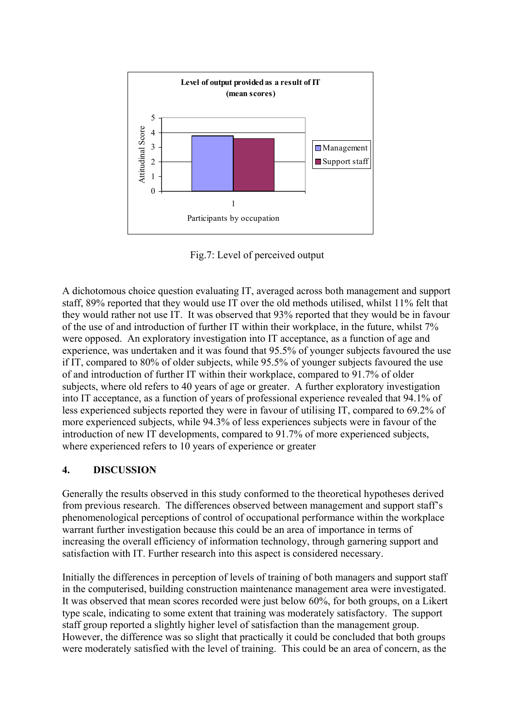

Fig.7: Level of perceived output

A dichotomous choice question evaluating IT, averaged across both management and support staff, 89% reported that they would use IT over the old methods utilised, whilst 11% felt that they would rather not use IT. It was observed that 93% reported that they would be in favour of the use of and introduction of further IT within their workplace, in the future, whilst 7% experience, was undertaken and it was found that 95.5% of younger subjects favoured the use if IT, compared to 80% of older subjects, while 95.5% of younger subjects favoured the use of and introduction of further IT within their workplace, compared to 91.7% of older subjects, where old refers to 40 years of age or greater. A further exploratory investigation less experienced subjects reported they were in favour of utilising IT, compared to 69.2% of more experienced subjects, while 94.3% of less experiences subjects were in favour of the introduction of new IT developments, compared to 91.7% of more experienced subjects, where experienced refers to 10 years of experience or greater were opposed. An exploratory investigation into IT acceptance, as a function of age and into IT acceptance, as a function of years of professional experience revealed that 94.1% of

# **4. DISCUSSION**

Generally the results observed in this study conformed to the theoretical hypotheses derived from previous research. The differences observed between management and support staff's phenomenological perceptions of control of occupational performance within the workplace warrant further investigation because this could be an area of importance in terms of increasing the overall efficiency of information technology, through garnering support and satisfaction with IT. Further research into this aspect is considered necessary.

Initially the differences in perception of levels of training of both managers and support staff in the computerised, building construction maintenance management area were investigated. It was observed that mean scores recorded were just below 60%, for both groups, on a Likert type scale, indicating to some extent that training was moderately satisfactory. The support staff group reported a slightly higher level of satisfaction than the management group. However, the difference was so slight that practically it could be concluded that both groups were moderately satisfied with the level of training. This could be an area of concern, as the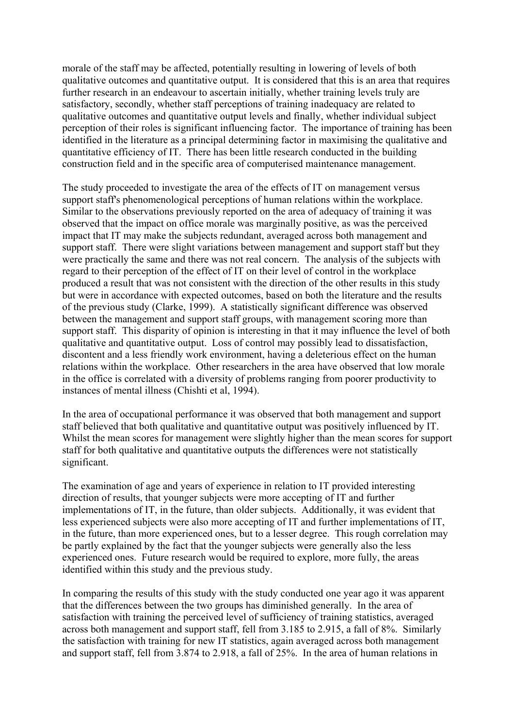morale of the staff may be affected, potentially resulting in lowering of levels of both qualitative outcomes and quantitative output. It is considered that this is an area that requires further research in an endeavour to ascertain initially, whether training levels truly are satisfactory, secondly, whether staff perceptions of training inadequacy are related to qualitative outcomes and quantitative output levels and finally, whether individual subject perception of their roles is significant influencing factor. The importance of training has been identified in the literature as a principal determining factor in maximising the qualitative and quantitative efficiency of IT. There has been little research conducted in the building construction field and in the specific area of computerised maintenance management.

The study proceeded to investigate the area of the effects of IT on management versus support staff's phenomenological perceptions of human relations within the workplace. Similar to the observations previously reported on the area of adequacy of training it was observed that the impact on office morale was marginally positive, as was the perceived impact that IT may make the subjects redundant, averaged across both management and support staff. There were slight variations between management and support staff but they were practically the same and there was not real concern. The analysis of the subjects with regard to their perception of the effect of IT on their level of control in the workplace produced a result that was not consistent with the direction of the other results in this study but were in accordance with expected outcomes, based on both the literature and the results of the previous study (Clarke, 1999). A statistically significant difference was observed between the management and support staff groups, with management scoring more than support staff. This disparity of opinion is interesting in that it may influence the level of both qualitative and quantitative output. Loss of control may possibly lead to dissatisfaction, discontent and a less friendly work environment, having a deleterious effect on the human relations within the workplace. Other researchers in the area have observed that low morale in the office is correlated with a diversity of problems ranging from poorer productivity to instances of mental illness (Chishti et al, 1994).

In the area of occupational performance it was observed that both management and support staff believed that both qualitative and quantitative output was positively influenced by IT. Whilst the mean scores for management were slightly higher than the mean scores for support staff for both qualitative and quantitative outputs the differences were not statistically significant.

The examination of age and years of experience in relation to IT provided interesting direction of results, that younger subjects were more accepting of IT and further implementations of IT, in the future, than older subjects. Additionally, it was evident that less experienced subjects were also more accepting of IT and further implementations of IT, in the future, than more experienced ones, but to a lesser degree. This rough correlation may be partly explained by the fact that the younger subjects were generally also the less experienced ones. Future research would be required to explore, more fully, the areas identified within this study and the previous study.

In comparing the results of this study with the study conducted one year ago it was apparent that the differences between the two groups has diminished generally. In the area of satisfaction with training the perceived level of sufficiency of training statistics, averaged across both management and support staff, fell from 3.185 to 2.915, a fall of 8%. Similarly the satisfaction with training for new IT statistics, again averaged across both management and support staff, fell from 3.874 to 2.918, a fall of 25%. In the area of human relations in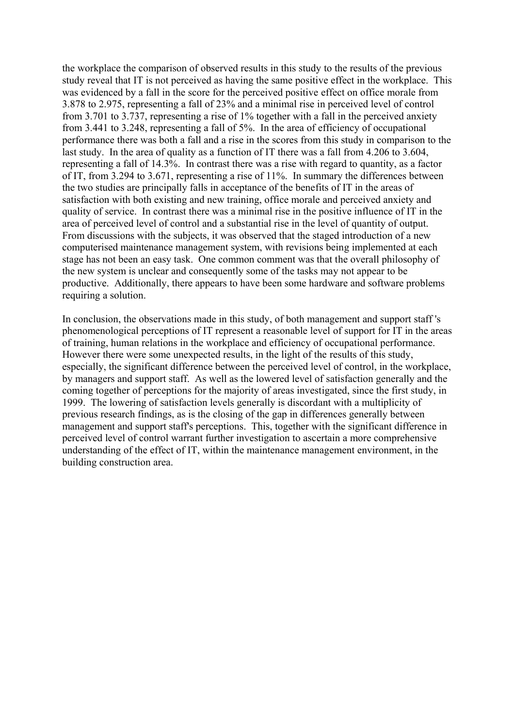the workplace the comparison of observed results in this study to the results of the previous study reveal that IT is not perceived as having the same positive effect in the workplace. This was evidenced by a fall in the score for the perceived positive effect on office morale from 3.878 to 2.975, representing a fall of 23% and a minimal rise in perceived level of control from 3.701 to 3.737, representing a rise of 1% together with a fall in the perceived anxiety from 3.441 to 3.248, representing a fall of 5%. In the area of efficiency of occupational performance there was both a fall and a rise in the scores from this study in comparison to the last study. In the area of quality as a function of IT there was a fall from 4.206 to 3.604, representing a fall of 14.3%. In contrast there was a rise with regard to quantity, as a factor of IT, from 3.294 to 3.671, representing a rise of 11%. In summary the differences between the two studies are principally falls in acceptance of the benefits of IT in the areas of satisfaction with both existing and new training, office morale and perceived anxiety and quality of service. In contrast there was a minimal rise in the positive influence of IT in the area of perceived level of control and a substantial rise in the level of quantity of output. From discussions with the subjects, it was observed that the staged introduction of a new computerised maintenance management system, with revisions being implemented at each stage has not been an easy task. One common comment was that the overall philosophy of the new system is unclear and consequently some of the tasks may not appear to be productive. Additionally, there appears to have been some hardware and software problems requiring a solution.

In conclusion, the observations made in this study, of both management and support staff 's phenomenological perceptions of IT represent a reasonable level of support for IT in the areas of training, human relations in the workplace and efficiency of occupational performance. However there were some unexpected results, in the light of the results of this study, especially, the significant difference between the perceived level of control, in the workplace, by managers and support staff. As well as the lowered level of satisfaction generally and the coming together of perceptions for the majority of areas investigated, since the first study, in 1999. The lowering of satisfaction levels generally is discordant with a multiplicity of previous research findings, as is the closing of the gap in differences generally between management and support staff's perceptions. This, together with the significant difference in perceived level of control warrant further investigation to ascertain a more comprehensive understanding of the effect of IT, within the maintenance management environment, in the building construction area.